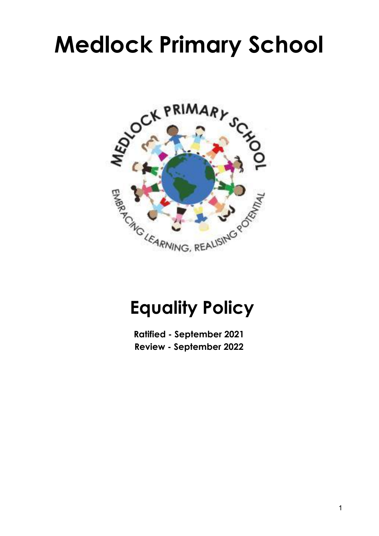# **Medlock Primary School**



# **Equality Policy**

**Ratified - September 2021 Review - September 2022**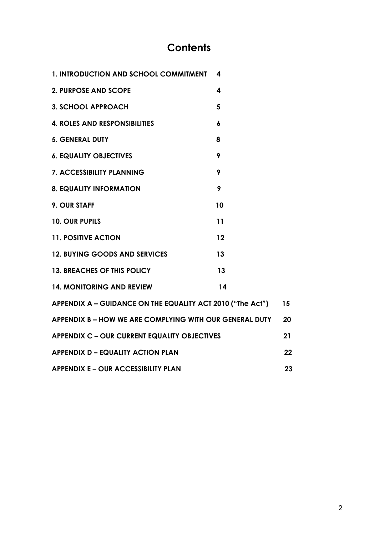# **Contents**

| 1. INTRODUCTION AND SCHOOL COMMITMENT                      | 4  |    |  |
|------------------------------------------------------------|----|----|--|
| <b>2. PURPOSE AND SCOPE</b>                                | 4  |    |  |
| <b>3. SCHOOL APPROACH</b>                                  | 5  |    |  |
| <b>4. ROLES AND RESPONSIBILITIES</b>                       | 6  |    |  |
| <b>5. GENERAL DUTY</b>                                     | 8  |    |  |
| <b>6. EQUALITY OBJECTIVES</b>                              | 9  |    |  |
| <b>7. ACCESSIBILITY PLANNING</b>                           | 9  |    |  |
| <b>8. EQUALITY INFORMATION</b>                             | 9  |    |  |
| 9. OUR STAFF                                               | 10 |    |  |
| <b>10. OUR PUPILS</b>                                      | 11 |    |  |
| <b>11. POSITIVE ACTION</b>                                 | 12 |    |  |
| <b>12. BUYING GOODS AND SERVICES</b>                       | 13 |    |  |
| <b>13. BREACHES OF THIS POLICY</b>                         | 13 |    |  |
| <b>14. MONITORING AND REVIEW</b>                           | 14 |    |  |
| APPENDIX A – GUIDANCE ON THE EQUALITY ACT 2010 ("The Act") |    |    |  |
| APPENDIX B - HOW WE ARE COMPLYING WITH OUR GENERAL DUTY    |    |    |  |
| <b>APPENDIX C - OUR CURRENT EQUALITY OBJECTIVES</b>        |    |    |  |
| <b>APPENDIX D - EQUALITY ACTION PLAN</b>                   |    |    |  |
| <b>APPENDIX E - OUR ACCESSIBILITY PLAN</b>                 |    | 23 |  |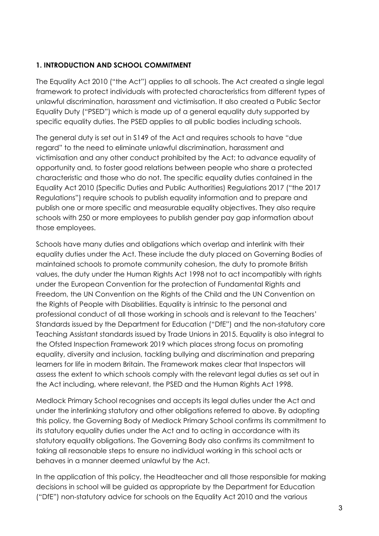#### **1. INTRODUCTION AND SCHOOL COMMITMENT**

The Equality Act 2010 ("the Act") applies to all schools. The Act created a single legal framework to protect individuals with protected characteristics from different types of unlawful discrimination, harassment and victimisation. It also created a Public Sector Equality Duty ("PSED") which is made up of a general equality duty supported by specific equality duties. The PSED applies to all public bodies including schools.

The general duty is set out in S149 of the Act and requires schools to have "due regard" to the need to eliminate unlawful discrimination, harassment and victimisation and any other conduct prohibited by the Act; to advance equality of opportunity and, to foster good relations between people who share a protected characteristic and those who do not. The specific equality duties contained in the Equality Act 2010 (Specific Duties and Public Authorities) Regulations 2017 ("the 2017 Regulations") require schools to publish equality information and to prepare and publish one or more specific and measurable equality objectives. They also require schools with 250 or more employees to publish gender pay gap information about those employees.

Schools have many duties and obligations which overlap and interlink with their equality duties under the Act. These include the duty placed on Governing Bodies of maintained schools to promote community cohesion, the duty to promote British values, the duty under the Human Rights Act 1998 not to act incompatibly with rights under the European Convention for the protection of Fundamental Rights and Freedom, the UN Convention on the Rights of the Child and the UN Convention on the Rights of People with Disabilities. Equality is intrinsic to the personal and professional conduct of all those working in schools and is relevant to the Teachers' Standards issued by the Department for Education ("DfE") and the non-statutory core Teaching Assistant standards issued by Trade Unions in 2015. Equality is also integral to the Ofsted Inspection Framework 2019 which places strong focus on promoting equality, diversity and inclusion, tackling bullying and discrimination and preparing learners for life in modern Britain. The Framework makes clear that Inspectors will assess the extent to which schools comply with the relevant legal duties as set out in the Act including, where relevant, the PSED and the Human Rights Act 1998.

Medlock Primary School recognises and accepts its legal duties under the Act and under the interlinking statutory and other obligations referred to above. By adopting this policy, the Governing Body of Medlock Primary School confirms its commitment to its statutory equality duties under the Act and to acting in accordance with its statutory equality obligations. The Governing Body also confirms its commitment to taking all reasonable steps to ensure no individual working in this school acts or behaves in a manner deemed unlawful by the Act.

In the application of this policy, the Headteacher and all those responsible for making decisions in school will be guided as appropriate by the Department for Education ("DfE") non-statutory advice for schools on the Equality Act 2010 and the various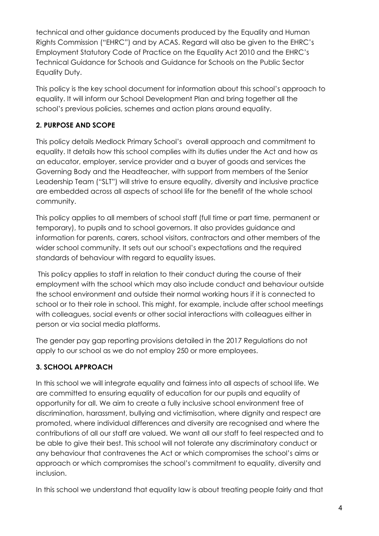technical and other guidance documents produced by the Equality and Human Rights Commission ("EHRC") and by ACAS. Regard will also be given to the EHRC's Employment Statutory Code of Practice on the Equality Act 2010 and the EHRC's Technical Guidance for Schools and Guidance for Schools on the Public Sector Equality Duty.

This policy is the key school document for information about this school's approach to equality. It will inform our School Development Plan and bring together all the school's previous policies, schemes and action plans around equality.

# **2. PURPOSE AND SCOPE**

This policy details Medlock Primary School's overall approach and commitment to equality. It details how this school complies with its duties under the Act and how as an educator, employer, service provider and a buyer of goods and services the Governing Body and the Headteacher, with support from members of the Senior Leadership Team ("SLT") will strive to ensure equality, diversity and inclusive practice are embedded across all aspects of school life for the benefit of the whole school community.

This policy applies to all members of school staff (full time or part time, permanent or temporary), to pupils and to school governors. It also provides guidance and information for parents, carers, school visitors, contractors and other members of the wider school community. It sets out our school's expectations and the required standards of behaviour with regard to equality issues.

This policy applies to staff in relation to their conduct during the course of their employment with the school which may also include conduct and behaviour outside the school environment and outside their normal working hours if it is connected to school or to their role in school. This might, for example, include after school meetings with colleagues, social events or other social interactions with colleagues either in person or via social media platforms.

The gender pay gap reporting provisions detailed in the 2017 Regulations do not apply to our school as we do not employ 250 or more employees.

# **3. SCHOOL APPROACH**

In this school we will integrate equality and fairness into all aspects of school life. We are committed to ensuring equality of education for our pupils and equality of opportunity for all. We aim to create a fully inclusive school environment free of discrimination, harassment, bullying and victimisation, where dignity and respect are promoted, where individual differences and diversity are recognised and where the contributions of all our staff are valued. We want all our staff to feel respected and to be able to give their best. This school will not tolerate any discriminatory conduct or any behaviour that contravenes the Act or which compromises the school's aims or approach or which compromises the school's commitment to equality, diversity and inclusion.

In this school we understand that equality law is about treating people fairly and that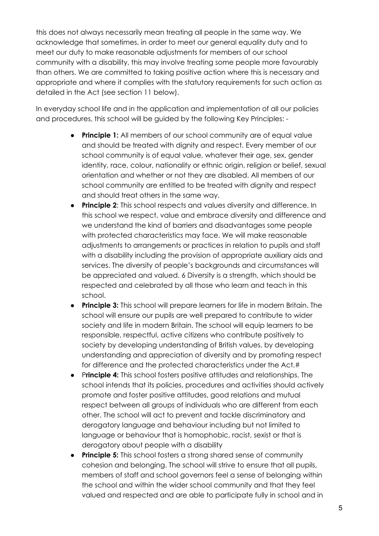this does not always necessarily mean treating all people in the same way. We acknowledge that sometimes, in order to meet our general equality duty and to meet our duty to make reasonable adjustments for members of our school community with a disability, this may involve treating some people more favourably than others. We are committed to taking positive action where this is necessary and appropriate and where it complies with the statutory requirements for such action as detailed in the Act (see section 11 below).

In everyday school life and in the application and implementation of all our policies and procedures, this school will be guided by the following Key Principles: -

- **Principle 1:** All members of our school community are of equal value and should be treated with dignity and respect. Every member of our school community is of equal value, whatever their age, sex, gender identity, race, colour, nationality or ethnic origin, religion or belief, sexual orientation and whether or not they are disabled. All members of our school community are entitled to be treated with dignity and respect and should treat others in the same way.
- **Principle 2**: This school respects and values diversity and difference. In this school we respect, value and embrace diversity and difference and we understand the kind of barriers and disadvantages some people with protected characteristics may face. We will make reasonable adjustments to arrangements or practices in relation to pupils and staff with a disability including the provision of appropriate auxiliary aids and services. The diversity of people's backgrounds and circumstances will be appreciated and valued. 6 Diversity is a strength, which should be respected and celebrated by all those who learn and teach in this school.
- **Principle 3:** This school will prepare learners for life in modern Britain. The school will ensure our pupils are well prepared to contribute to wider society and life in modern Britain. The school will equip learners to be responsible, respectful, active citizens who contribute positively to society by developing understanding of British values, by developing understanding and appreciation of diversity and by promoting respect for difference and the protected characteristics under the Act.#
- P**rinciple 4:** This school fosters positive attitudes and relationships. The school intends that its policies, procedures and activities should actively promote and foster positive attitudes, good relations and mutual respect between all groups of individuals who are different from each other. The school will act to prevent and tackle discriminatory and derogatory language and behaviour including but not limited to language or behaviour that is homophobic, racist, sexist or that is derogatory about people with a disability
- **Principle 5:** This school fosters a strong shared sense of community cohesion and belonging. The school will strive to ensure that all pupils, members of staff and school governors feel a sense of belonging within the school and within the wider school community and that they feel valued and respected and are able to participate fully in school and in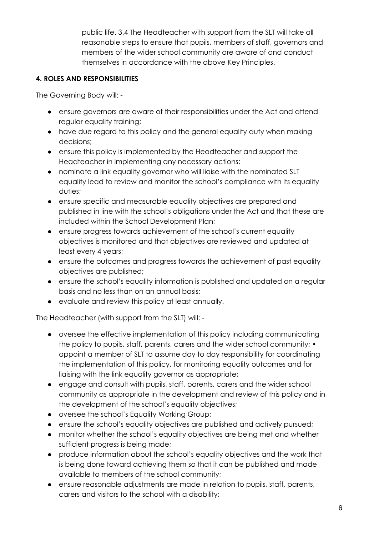public life. 3.4 The Headteacher with support from the SLT will take all reasonable steps to ensure that pupils, members of staff, governors and members of the wider school community are aware of and conduct themselves in accordance with the above Key Principles.

#### **4. ROLES AND RESPONSIBILITIES**

The Governing Body will: -

- ensure governors are aware of their responsibilities under the Act and attend regular equality training;
- have due regard to this policy and the general equality duty when making decisions;
- ensure this policy is implemented by the Headteacher and support the Headteacher in implementing any necessary actions;
- nominate a link equality governor who will liaise with the nominated SLT equality lead to review and monitor the school's compliance with its equality duties;
- ensure specific and measurable equality objectives are prepared and published in line with the school's obligations under the Act and that these are included within the School Development Plan;
- ensure progress towards achievement of the school's current equality objectives is monitored and that objectives are reviewed and updated at least every 4 years;
- ensure the outcomes and progress towards the achievement of past equality objectives are published;
- ensure the school's equality information is published and updated on a regular basis and no less than on an annual basis;
- evaluate and review this policy at least annually.

The Headteacher (with support from the SLT) will: -

- oversee the effective implementation of this policy including communicating the policy to pupils, staff, parents, carers and the wider school community; • appoint a member of SLT to assume day to day responsibility for coordinating the implementation of this policy, for monitoring equality outcomes and for liaising with the link equality governor as appropriate;
- engage and consult with pupils, staff, parents, carers and the wider school community as appropriate in the development and review of this policy and in the development of the school's equality objectives;
- oversee the school's Equality Working Group;
- ensure the school's equality objectives are published and actively pursued;
- monitor whether the school's equality objectives are being met and whether sufficient progress is being made;
- produce information about the school's equality objectives and the work that is being done toward achieving them so that it can be published and made available to members of the school community;
- ensure reasonable adjustments are made in relation to pupils, staff, parents, carers and visitors to the school with a disability;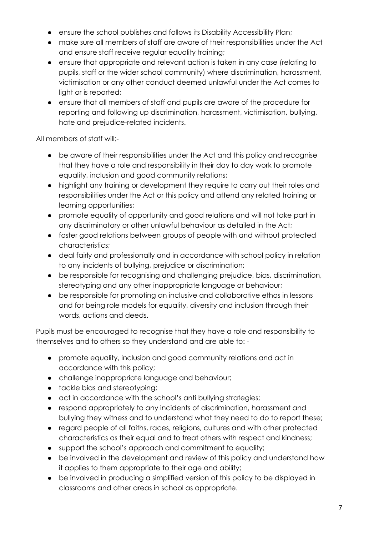- ensure the school publishes and follows its Disability Accessibility Plan;
- make sure all members of staff are aware of their responsibilities under the Act and ensure staff receive regular equality training;
- ensure that appropriate and relevant action is taken in any case (relating to pupils, staff or the wider school community) where discrimination, harassment, victimisation or any other conduct deemed unlawful under the Act comes to light or is reported;
- ensure that all members of staff and pupils are aware of the procedure for reporting and following up discrimination, harassment, victimisation, bullying, hate and prejudice-related incidents.

All members of staff will:-

- be aware of their responsibilities under the Act and this policy and recognise that they have a role and responsibility in their day to day work to promote equality, inclusion and good community relations;
- highlight any training or development they require to carry out their roles and responsibilities under the Act or this policy and attend any related training or learning opportunities;
- promote equality of opportunity and good relations and will not take part in any discriminatory or other unlawful behaviour as detailed in the Act;
- foster good relations between groups of people with and without protected characteristics;
- deal fairly and professionally and in accordance with school policy in relation to any incidents of bullying, prejudice or discrimination;
- be responsible for recognising and challenging prejudice, bias, discrimination, stereotyping and any other inappropriate language or behaviour;
- be responsible for promoting an inclusive and collaborative ethos in lessons and for being role models for equality, diversity and inclusion through their words, actions and deeds.

Pupils must be encouraged to recognise that they have a role and responsibility to themselves and to others so they understand and are able to: -

- promote equality, inclusion and good community relations and act in accordance with this policy;
- challenge inappropriate language and behaviour;
- tackle bias and stereotyping;
- act in accordance with the school's anti bullying strategies;
- respond appropriately to any incidents of discrimination, harassment and bullying they witness and to understand what they need to do to report these;
- regard people of all faiths, races, religions, cultures and with other protected characteristics as their equal and to treat others with respect and kindness;
- support the school's approach and commitment to equality;
- be involved in the development and review of this policy and understand how it applies to them appropriate to their age and ability;
- be involved in producing a simplified version of this policy to be displayed in classrooms and other areas in school as appropriate.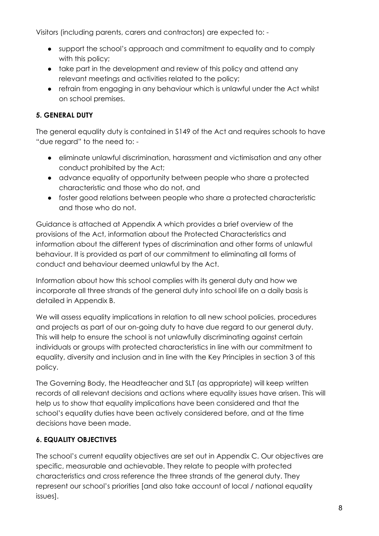Visitors (including parents, carers and contractors) are expected to: -

- support the school's approach and commitment to equality and to comply with this policy;
- take part in the development and review of this policy and attend any relevant meetings and activities related to the policy;
- refrain from engaging in any behaviour which is unlawful under the Act whilst on school premises.

# **5. GENERAL DUTY**

The general equality duty is contained in S149 of the Act and requires schools to have "due regard" to the need to: -

- eliminate unlawful discrimination, harassment and victimisation and any other conduct prohibited by the Act;
- advance equality of opportunity between people who share a protected characteristic and those who do not, and
- foster good relations between people who share a protected characteristic and those who do not.

Guidance is attached at Appendix A which provides a brief overview of the provisions of the Act, information about the Protected Characteristics and information about the different types of discrimination and other forms of unlawful behaviour. It is provided as part of our commitment to eliminating all forms of conduct and behaviour deemed unlawful by the Act.

Information about how this school complies with its general duty and how we incorporate all three strands of the general duty into school life on a daily basis is detailed in Appendix B.

We will assess equality implications in relation to all new school policies, procedures and projects as part of our on-going duty to have due regard to our general duty. This will help to ensure the school is not unlawfully discriminating against certain individuals or groups with protected characteristics in line with our commitment to equality, diversity and inclusion and in line with the Key Principles in section 3 of this policy.

The Governing Body, the Headteacher and SLT (as appropriate) will keep written records of all relevant decisions and actions where equality issues have arisen. This will help us to show that equality implications have been considered and that the school's equality duties have been actively considered before, and at the time decisions have been made.

# **6. EQUALITY OBJECTIVES**

The school's current equality objectives are set out in Appendix C. Our objectives are specific, measurable and achievable. They relate to people with protected characteristics and cross reference the three strands of the general duty. They represent our school's priorities [and also take account of local / national equality issues].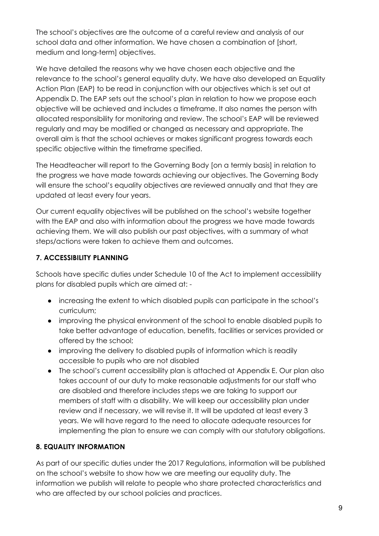The school's objectives are the outcome of a careful review and analysis of our school data and other information. We have chosen a combination of [short, medium and long-term] objectives.

We have detailed the reasons why we have chosen each objective and the relevance to the school's general equality duty. We have also developed an Equality Action Plan (EAP) to be read in conjunction with our objectives which is set out at Appendix D. The EAP sets out the school's plan in relation to how we propose each objective will be achieved and includes a timeframe. It also names the person with allocated responsibility for monitoring and review. The school's EAP will be reviewed regularly and may be modified or changed as necessary and appropriate. The overall aim is that the school achieves or makes significant progress towards each specific objective within the timeframe specified.

The Headteacher will report to the Governing Body [on a termly basis] in relation to the progress we have made towards achieving our objectives. The Governing Body will ensure the school's equality objectives are reviewed annually and that they are updated at least every four years.

Our current equality objectives will be published on the school's website together with the EAP and also with information about the progress we have made towards achieving them. We will also publish our past objectives, with a summary of what steps/actions were taken to achieve them and outcomes.

# **7. ACCESSIBILITY PLANNING**

Schools have specific duties under Schedule 10 of the Act to implement accessibility plans for disabled pupils which are aimed at: -

- increasing the extent to which disabled pupils can participate in the school's curriculum;
- improving the physical environment of the school to enable disabled pupils to take better advantage of education, benefits, facilities or services provided or offered by the school;
- improving the delivery to disabled pupils of information which is readily accessible to pupils who are not disabled
- The school's current accessibility plan is attached at Appendix E. Our plan also takes account of our duty to make reasonable adjustments for our staff who are disabled and therefore includes steps we are taking to support our members of staff with a disability. We will keep our accessibility plan under review and if necessary, we will revise it. It will be updated at least every 3 years. We will have regard to the need to allocate adequate resources for implementing the plan to ensure we can comply with our statutory obligations.

# **8. EQUALITY INFORMATION**

As part of our specific duties under the 2017 Regulations, information will be published on the school's website to show how we are meeting our equality duty. The information we publish will relate to people who share protected characteristics and who are affected by our school policies and practices.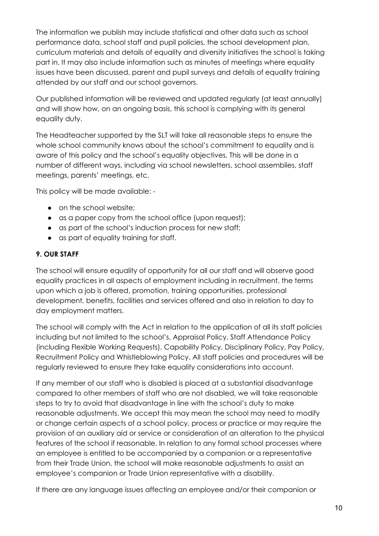The information we publish may include statistical and other data such as school performance data, school staff and pupil policies, the school development plan, curriculum materials and details of equality and diversity initiatives the school is taking part in. It may also include information such as minutes of meetings where equality issues have been discussed, parent and pupil surveys and details of equality training attended by our staff and our school governors.

Our published information will be reviewed and updated regularly (at least annually) and will show how, on an ongoing basis, this school is complying with its general equality duty.

The Headteacher supported by the SLT will take all reasonable steps to ensure the whole school community knows about the school's commitment to equality and is aware of this policy and the school's equality objectives. This will be done in a number of different ways, including via school newsletters, school assemblies, staff meetings, parents' meetings, etc.

This policy will be made available: -

- on the school website;
- as a paper copy from the school office (upon request);
- as part of the school's induction process for new staff;
- as part of equality training for staff.

#### **9. OUR STAFF**

The school will ensure equality of opportunity for all our staff and will observe good equality practices in all aspects of employment including in recruitment, the terms upon which a job is offered, promotion, training opportunities, professional development, benefits, facilities and services offered and also in relation to day to day employment matters.

The school will comply with the Act in relation to the application of all its staff policies including but not limited to the school's, Appraisal Policy, Staff Attendance Policy (including Flexible Working Requests), Capability Policy, Disciplinary Policy, Pay Policy, Recruitment Policy and Whistleblowing Policy. All staff policies and procedures will be regularly reviewed to ensure they take equality considerations into account.

If any member of our staff who is disabled is placed at a substantial disadvantage compared to other members of staff who are not disabled, we will take reasonable steps to try to avoid that disadvantage in line with the school's duty to make reasonable adjustments. We accept this may mean the school may need to modify or change certain aspects of a school policy, process or practice or may require the provision of an auxiliary aid or service or consideration of an alteration to the physical features of the school if reasonable. In relation to any formal school processes where an employee is entitled to be accompanied by a companion or a representative from their Trade Union, the school will make reasonable adjustments to assist an employee's companion or Trade Union representative with a disability.

If there are any language issues affecting an employee and/or their companion or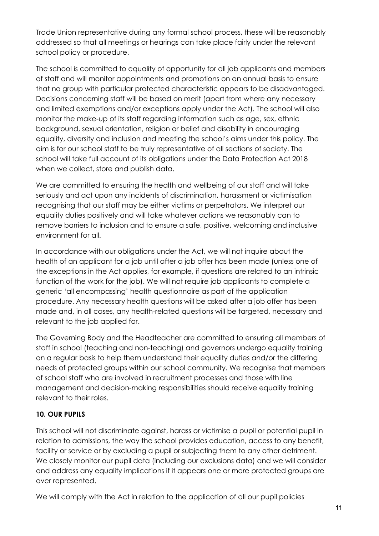Trade Union representative during any formal school process, these will be reasonably addressed so that all meetings or hearings can take place fairly under the relevant school policy or procedure.

The school is committed to equality of opportunity for all job applicants and members of staff and will monitor appointments and promotions on an annual basis to ensure that no group with particular protected characteristic appears to be disadvantaged. Decisions concerning staff will be based on merit (apart from where any necessary and limited exemptions and/or exceptions apply under the Act). The school will also monitor the make-up of its staff regarding information such as age, sex, ethnic background, sexual orientation, religion or belief and disability in encouraging equality, diversity and inclusion and meeting the school's aims under this policy. The aim is for our school staff to be truly representative of all sections of society. The school will take full account of its obligations under the Data Protection Act 2018 when we collect, store and publish data.

We are committed to ensuring the health and wellbeing of our staff and will take seriously and act upon any incidents of discrimination, harassment or victimisation recognising that our staff may be either victims or perpetrators. We interpret our equality duties positively and will take whatever actions we reasonably can to remove barriers to inclusion and to ensure a safe, positive, welcoming and inclusive environment for all.

In accordance with our obligations under the Act, we will not inquire about the health of an applicant for a job until after a job offer has been made (unless one of the exceptions in the Act applies, for example, if questions are related to an intrinsic function of the work for the job). We will not require job applicants to complete a generic 'all encompassing' health questionnaire as part of the application procedure. Any necessary health questions will be asked after a job offer has been made and, in all cases, any health-related questions will be targeted, necessary and relevant to the job applied for.

The Governing Body and the Headteacher are committed to ensuring all members of staff in school (teaching and non-teaching) and governors undergo equality training on a regular basis to help them understand their equality duties and/or the differing needs of protected groups within our school community. We recognise that members of school staff who are involved in recruitment processes and those with line management and decision-making responsibilities should receive equality training relevant to their roles.

#### **10. OUR PUPILS**

This school will not discriminate against, harass or victimise a pupil or potential pupil in relation to admissions, the way the school provides education, access to any benefit, facility or service or by excluding a pupil or subjecting them to any other detriment. We closely monitor our pupil data (including our exclusions data) and we will consider and address any equality implications if it appears one or more protected groups are over represented.

We will comply with the Act in relation to the application of all our pupil policies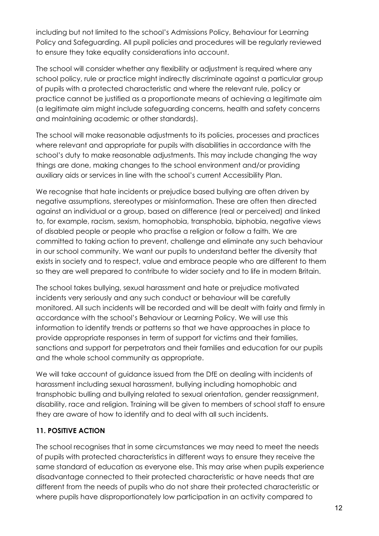including but not limited to the school's Admissions Policy, Behaviour for Learning Policy and Safeguarding. All pupil policies and procedures will be regularly reviewed to ensure they take equality considerations into account.

The school will consider whether any flexibility or adjustment is required where any school policy, rule or practice might indirectly discriminate against a particular group of pupils with a protected characteristic and where the relevant rule, policy or practice cannot be justified as a proportionate means of achieving a legitimate aim (a legitimate aim might include safeguarding concerns, health and safety concerns and maintaining academic or other standards).

The school will make reasonable adjustments to its policies, processes and practices where relevant and appropriate for pupils with disabilities in accordance with the school's duty to make reasonable adjustments. This may include changing the way things are done, making changes to the school environment and/or providing auxiliary aids or services in line with the school's current Accessibility Plan.

We recognise that hate incidents or prejudice based bullying are often driven by negative assumptions, stereotypes or misinformation. These are often then directed against an individual or a group, based on difference (real or perceived) and linked to, for example, racism, sexism, homophobia, transphobia, biphobia, negative views of disabled people or people who practise a religion or follow a faith. We are committed to taking action to prevent, challenge and eliminate any such behaviour in our school community. We want our pupils to understand better the diversity that exists in society and to respect, value and embrace people who are different to them so they are well prepared to contribute to wider society and to life in modern Britain.

The school takes bullying, sexual harassment and hate or prejudice motivated incidents very seriously and any such conduct or behaviour will be carefully monitored. All such incidents will be recorded and will be dealt with fairly and firmly in accordance with the school's Behaviour or Learning Policy. We will use this information to identify trends or patterns so that we have approaches in place to provide appropriate responses in term of support for victims and their families, sanctions and support for perpetrators and their families and education for our pupils and the whole school community as appropriate.

We will take account of guidance issued from the DfE on dealing with incidents of harassment including sexual harassment, bullying including homophobic and transphobic bulling and bullying related to sexual orientation, gender reassignment, disability, race and religion. Training will be given to members of school staff to ensure they are aware of how to identify and to deal with all such incidents.

# **11. POSITIVE ACTION**

The school recognises that in some circumstances we may need to meet the needs of pupils with protected characteristics in different ways to ensure they receive the same standard of education as everyone else. This may arise when pupils experience disadvantage connected to their protected characteristic or have needs that are different from the needs of pupils who do not share their protected characteristic or where pupils have disproportionately low participation in an activity compared to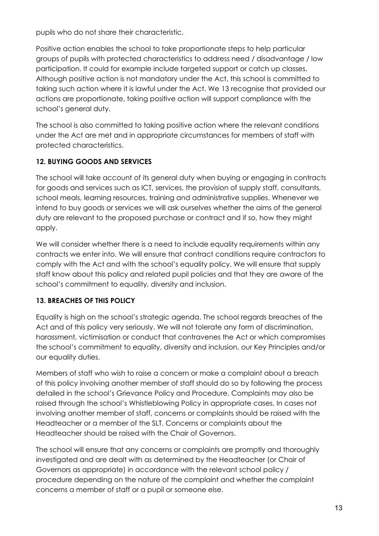pupils who do not share their characteristic.

Positive action enables the school to take proportionate steps to help particular groups of pupils with protected characteristics to address need / disadvantage / low participation. It could for example include targeted support or catch up classes. Although positive action is not mandatory under the Act, this school is committed to taking such action where it is lawful under the Act. We 13 recognise that provided our actions are proportionate, taking positive action will support compliance with the school's general duty.

The school is also committed to taking positive action where the relevant conditions under the Act are met and in appropriate circumstances for members of staff with protected characteristics.

# **12. BUYING GOODS AND SERVICES**

The school will take account of its general duty when buying or engaging in contracts for goods and services such as ICT, services, the provision of supply staff, consultants, school meals, learning resources, training and administrative supplies. Whenever we intend to buy goods or services we will ask ourselves whether the aims of the general duty are relevant to the proposed purchase or contract and if so, how they might apply.

We will consider whether there is a need to include equality requirements within any contracts we enter into. We will ensure that contract conditions require contractors to comply with the Act and with the school's equality policy. We will ensure that supply staff know about this policy and related pupil policies and that they are aware of the school's commitment to equality, diversity and inclusion.

# **13. BREACHES OF THIS POLICY**

Equality is high on the school's strategic agenda. The school regards breaches of the Act and of this policy very seriously. We will not tolerate any form of discrimination, harassment, victimisation or conduct that contravenes the Act or which compromises the school's commitment to equality, diversity and inclusion, our Key Principles and/or our equality duties.

Members of staff who wish to raise a concern or make a complaint about a breach of this policy involving another member of staff should do so by following the process detailed in the school's Grievance Policy and Procedure. Complaints may also be raised through the school's Whistleblowing Policy in appropriate cases. In cases not involving another member of staff, concerns or complaints should be raised with the Headteacher or a member of the SLT. Concerns or complaints about the Headteacher should be raised with the Chair of Governors.

The school will ensure that any concerns or complaints are promptly and thoroughly investigated and are dealt with as determined by the Headteacher (or Chair of Governors as appropriate) in accordance with the relevant school policy / procedure depending on the nature of the complaint and whether the complaint concerns a member of staff or a pupil or someone else.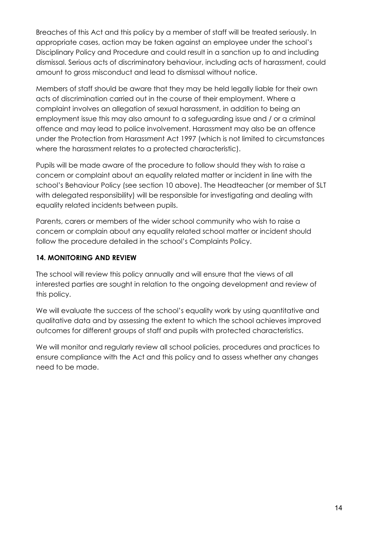Breaches of this Act and this policy by a member of staff will be treated seriously. In appropriate cases, action may be taken against an employee under the school's Disciplinary Policy and Procedure and could result in a sanction up to and including dismissal. Serious acts of discriminatory behaviour, including acts of harassment, could amount to gross misconduct and lead to dismissal without notice.

Members of staff should be aware that they may be held legally liable for their own acts of discrimination carried out in the course of their employment. Where a complaint involves an allegation of sexual harassment, in addition to being an employment issue this may also amount to a safeguarding issue and / or a criminal offence and may lead to police involvement. Harassment may also be an offence under the Protection from Harassment Act 1997 (which is not limited to circumstances where the harassment relates to a protected characteristic).

Pupils will be made aware of the procedure to follow should they wish to raise a concern or complaint about an equality related matter or incident in line with the school's Behaviour Policy (see section 10 above). The Headteacher (or member of SLT with delegated responsibility) will be responsible for investigating and dealing with equality related incidents between pupils.

Parents, carers or members of the wider school community who wish to raise a concern or complain about any equality related school matter or incident should follow the procedure detailed in the school's Complaints Policy.

#### **14. MONITORING AND REVIEW**

The school will review this policy annually and will ensure that the views of all interested parties are sought in relation to the ongoing development and review of this policy.

We will evaluate the success of the school's equality work by using quantitative and qualitative data and by assessing the extent to which the school achieves improved outcomes for different groups of staff and pupils with protected characteristics.

We will monitor and regularly review all school policies, procedures and practices to ensure compliance with the Act and this policy and to assess whether any changes need to be made.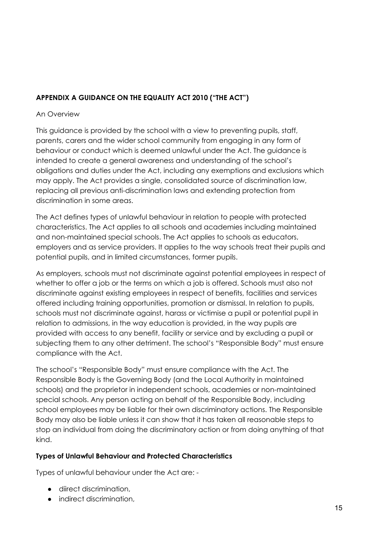# **APPENDIX A GUIDANCE ON THE EQUALITY ACT 2010 ("THE ACT")**

#### An Overview

This guidance is provided by the school with a view to preventing pupils, staff, parents, carers and the wider school community from engaging in any form of behaviour or conduct which is deemed unlawful under the Act. The guidance is intended to create a general awareness and understanding of the school's obligations and duties under the Act, including any exemptions and exclusions which may apply. The Act provides a single, consolidated source of discrimination law, replacing all previous anti-discrimination laws and extending protection from discrimination in some areas.

The Act defines types of unlawful behaviour in relation to people with protected characteristics. The Act applies to all schools and academies including maintained and non-maintained special schools. The Act applies to schools as educators, employers and as service providers. It applies to the way schools treat their pupils and potential pupils, and in limited circumstances, former pupils.

As employers, schools must not discriminate against potential employees in respect of whether to offer a job or the terms on which a job is offered. Schools must also not discriminate against existing employees in respect of benefits, facilities and services offered including training opportunities, promotion or dismissal. In relation to pupils, schools must not discriminate against, harass or victimise a pupil or potential pupil in relation to admissions, in the way education is provided, in the way pupils are provided with access to any benefit, facility or service and by excluding a pupil or subjecting them to any other detriment. The school's "Responsible Body" must ensure compliance with the Act.

The school's "Responsible Body" must ensure compliance with the Act. The Responsible Body is the Governing Body (and the Local Authority in maintained schools) and the proprietor in independent schools, academies or non-maintained special schools. Any person acting on behalf of the Responsible Body, including school employees may be liable for their own discriminatory actions. The Responsible Body may also be liable unless it can show that it has taken all reasonable steps to stop an individual from doing the discriminatory action or from doing anything of that kind.

#### **Types of Unlawful Behaviour and Protected Characteristics**

Types of unlawful behaviour under the Act are: -

- diirect discrimination,
- indirect discrimination,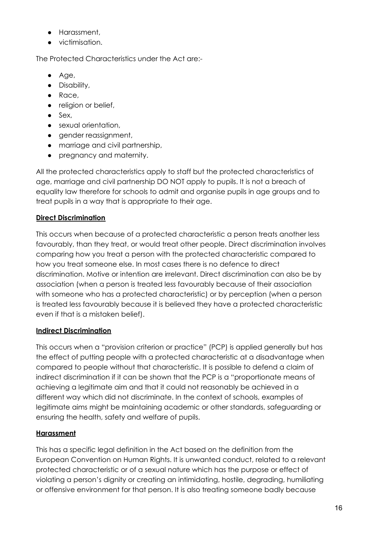- Harassment,
- victimisation.

The Protected Characteristics under the Act are:-

- Age,
- Disability,
- Race,
- religion or belief,
- $\bullet$  Sex,
- sexual orientation,
- gender reassignment,
- marriage and civil partnership,
- pregnancy and maternity.

All the protected characteristics apply to staff but the protected characteristics of age, marriage and civil partnership DO NOT apply to pupils. It is not a breach of equality law therefore for schools to admit and organise pupils in age groups and to treat pupils in a way that is appropriate to their age.

# **Direct Discrimination**

This occurs when because of a protected characteristic a person treats another less favourably, than they treat, or would treat other people. Direct discrimination involves comparing how you treat a person with the protected characteristic compared to how you treat someone else. In most cases there is no defence to direct discrimination. Motive or intention are irrelevant. Direct discrimination can also be by association (when a person is treated less favourably because of their association with someone who has a protected characteristic) or by perception (when a person is treated less favourably because it is believed they have a protected characteristic even if that is a mistaken belief).

#### **Indirect Discrimination**

This occurs when a "provision criterion or practice" (PCP) is applied generally but has the effect of putting people with a protected characteristic at a disadvantage when compared to people without that characteristic. It is possible to defend a claim of indirect discrimination if it can be shown that the PCP is a "proportionate means of achieving a legitimate aim and that it could not reasonably be achieved in a different way which did not discriminate. In the context of schools, examples of legitimate aims might be maintaining academic or other standards, safeguarding or ensuring the health, safety and welfare of pupils.

# **Harassment**

This has a specific legal definition in the Act based on the definition from the European Convention on Human Rights. It is unwanted conduct, related to a relevant protected characteristic or of a sexual nature which has the purpose or effect of violating a person's dignity or creating an intimidating, hostile, degrading, humiliating or offensive environment for that person. It is also treating someone badly because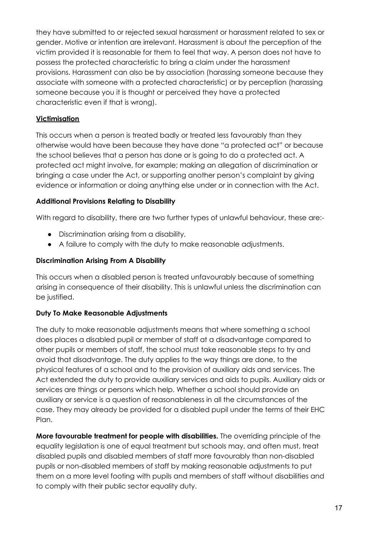they have submitted to or rejected sexual harassment or harassment related to sex or gender. Motive or intention are irrelevant. Harassment is about the perception of the victim provided it is reasonable for them to feel that way. A person does not have to possess the protected characteristic to bring a claim under the harassment provisions. Harassment can also be by association (harassing someone because they associate with someone with a protected characteristic) or by perception (harassing someone because you it is thought or perceived they have a protected characteristic even if that is wrong).

#### **Victimisation**

This occurs when a person is treated badly or treated less favourably than they otherwise would have been because they have done "a protected act" or because the school believes that a person has done or is going to do a protected act. A protected act might involve, for example; making an allegation of discrimination or bringing a case under the Act, or supporting another person's complaint by giving evidence or information or doing anything else under or in connection with the Act.

#### **Additional Provisions Relating to Disability**

With regard to disability, there are two further types of unlawful behaviour, these are:-

- Discrimination arising from a disability,
- A failure to comply with the duty to make reasonable adjustments.

#### **Discrimination Arising From A Disability**

This occurs when a disabled person is treated unfavourably because of something arising in consequence of their disability. This is unlawful unless the discrimination can be justified.

#### **Duty To Make Reasonable Adjustments**

The duty to make reasonable adjustments means that where something a school does places a disabled pupil or member of staff at a disadvantage compared to other pupils or members of staff, the school must take reasonable steps to try and avoid that disadvantage. The duty applies to the way things are done, to the physical features of a school and to the provision of auxiliary aids and services. The Act extended the duty to provide auxiliary services and aids to pupils. Auxiliary aids or services are things or persons which help. Whether a school should provide an auxiliary or service is a question of reasonableness in all the circumstances of the case. They may already be provided for a disabled pupil under the terms of their EHC Plan.

**More favourable treatment for people with disabilities.** The overriding principle of the equality legislation is one of equal treatment but schools may, and often must, treat disabled pupils and disabled members of staff more favourably than non-disabled pupils or non-disabled members of staff by making reasonable adjustments to put them on a more level footing with pupils and members of staff without disabilities and to comply with their public sector equality duty.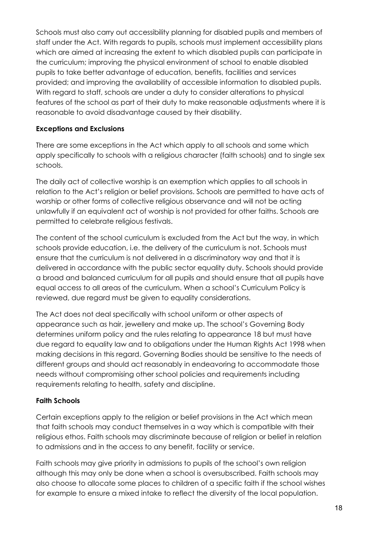Schools must also carry out accessibility planning for disabled pupils and members of staff under the Act. With regards to pupils, schools must implement accessibility plans which are aimed at increasing the extent to which disabled pupils can participate in the curriculum; improving the physical environment of school to enable disabled pupils to take better advantage of education, benefits, facilities and services provided; and improving the availability of accessible information to disabled pupils. With regard to staff, schools are under a duty to consider alterations to physical features of the school as part of their duty to make reasonable adjustments where it is reasonable to avoid disadvantage caused by their disability.

#### **Exceptions and Exclusions**

There are some exceptions in the Act which apply to all schools and some which apply specifically to schools with a religious character (faith schools) and to single sex schools.

The daily act of collective worship is an exemption which applies to all schools in relation to the Act's religion or belief provisions. Schools are permitted to have acts of worship or other forms of collective religious observance and will not be acting unlawfully if an equivalent act of worship is not provided for other faiths. Schools are permitted to celebrate religious festivals.

The content of the school curriculum is excluded from the Act but the way, in which schools provide education, i.e. the delivery of the curriculum is not. Schools must ensure that the curriculum is not delivered in a discriminatory way and that it is delivered in accordance with the public sector equality duty. Schools should provide a broad and balanced curriculum for all pupils and should ensure that all pupils have equal access to all areas of the curriculum. When a school's Curriculum Policy is reviewed, due regard must be given to equality considerations.

The Act does not deal specifically with school uniform or other aspects of appearance such as hair, jewellery and make up. The school's Governing Body determines uniform policy and the rules relating to appearance 18 but must have due regard to equality law and to obligations under the Human Rights Act 1998 when making decisions in this regard. Governing Bodies should be sensitive to the needs of different groups and should act reasonably in endeavoring to accommodate those needs without compromising other school policies and requirements including requirements relating to health, safety and discipline.

#### **Faith Schools**

Certain exceptions apply to the religion or belief provisions in the Act which mean that faith schools may conduct themselves in a way which is compatible with their religious ethos. Faith schools may discriminate because of religion or belief in relation to admissions and in the access to any benefit, facility or service.

Faith schools may give priority in admissions to pupils of the school's own religion although this may only be done when a school is oversubscribed. Faith schools may also choose to allocate some places to children of a specific faith if the school wishes for example to ensure a mixed intake to reflect the diversity of the local population.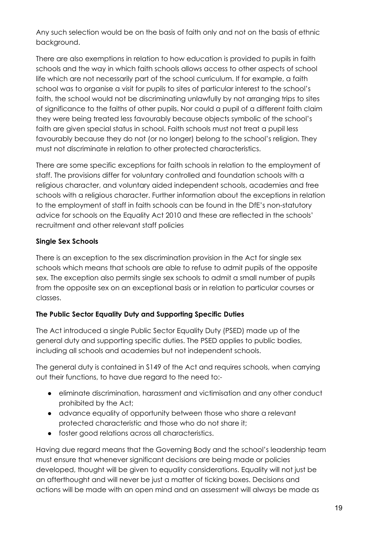Any such selection would be on the basis of faith only and not on the basis of ethnic background.

There are also exemptions in relation to how education is provided to pupils in faith schools and the way in which faith schools allows access to other aspects of school life which are not necessarily part of the school curriculum. If for example, a faith school was to organise a visit for pupils to sites of particular interest to the school's faith, the school would not be discriminating unlawfully by not arranging trips to sites of significance to the faiths of other pupils. Nor could a pupil of a different faith claim they were being treated less favourably because objects symbolic of the school's faith are given special status in school. Faith schools must not treat a pupil less favourably because they do not (or no longer) belong to the school's religion. They must not discriminate in relation to other protected characteristics.

There are some specific exceptions for faith schools in relation to the employment of staff. The provisions differ for voluntary controlled and foundation schools with a religious character, and voluntary aided independent schools, academies and free schools with a religious character. Further information about the exceptions in relation to the employment of staff in faith schools can be found in the DfE's non-statutory advice for schools on the Equality Act 2010 and these are reflected in the schools' recruitment and other relevant staff policies

#### **Single Sex Schools**

There is an exception to the sex discrimination provision in the Act for single sex schools which means that schools are able to refuse to admit pupils of the opposite sex. The exception also permits single sex schools to admit a small number of pupils from the opposite sex on an exceptional basis or in relation to particular courses or classes.

#### **The Public Sector Equality Duty and Supporting Specific Duties**

The Act introduced a single Public Sector Equality Duty (PSED) made up of the general duty and supporting specific duties. The PSED applies to public bodies, including all schools and academies but not independent schools.

The general duty is contained in S149 of the Act and requires schools, when carrying out their functions, to have due regard to the need to:-

- eliminate discrimination, harassment and victimisation and any other conduct prohibited by the Act;
- advance equality of opportunity between those who share a relevant protected characteristic and those who do not share it;
- foster good relations across all characteristics.

Having due regard means that the Governing Body and the school's leadership team must ensure that whenever significant decisions are being made or policies developed, thought will be given to equality considerations. Equality will not just be an afterthought and will never be just a matter of ticking boxes. Decisions and actions will be made with an open mind and an assessment will always be made as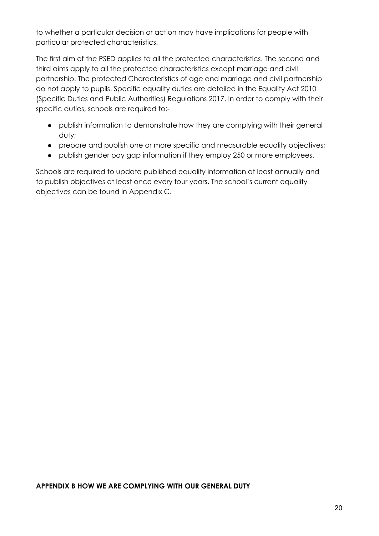to whether a particular decision or action may have implications for people with particular protected characteristics.

The first aim of the PSED applies to all the protected characteristics. The second and third aims apply to all the protected characteristics except marriage and civil partnership. The protected Characteristics of age and marriage and civil partnership do not apply to pupils. Specific equality duties are detailed in the Equality Act 2010 (Specific Duties and Public Authorities) Regulations 2017. In order to comply with their specific duties, schools are required to:-

- publish information to demonstrate how they are complying with their general duty;
- prepare and publish one or more specific and measurable equality objectives;
- publish gender pay gap information if they employ 250 or more employees.

Schools are required to update published equality information at least annually and to publish objectives at least once every four years. The school's current equality objectives can be found in Appendix C.

#### **APPENDIX B HOW WE ARE COMPLYING WITH OUR GENERAL DUTY**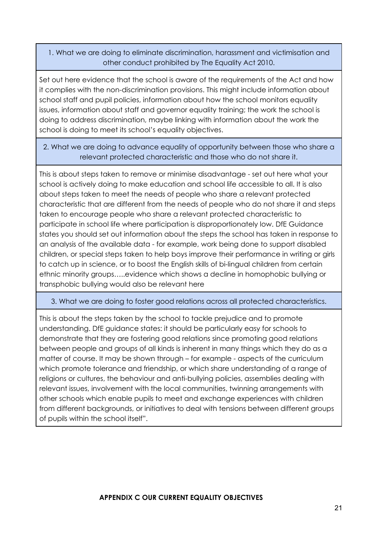1. What we are doing to eliminate discrimination, harassment and victimisation and other conduct prohibited by The Equality Act 2010.

Set out here evidence that the school is aware of the requirements of the Act and how it complies with the non-discrimination provisions. This might include information about school staff and pupil policies, information about how the school monitors equality issues, information about staff and governor equality training; the work the school is doing to address discrimination, maybe linking with information about the work the school is doing to meet its school's equality objectives.

2. What we are doing to advance equality of opportunity between those who share a relevant protected characteristic and those who do not share it.

This is about steps taken to remove or minimise disadvantage - set out here what your school is actively doing to make education and school life accessible to all. It is also about steps taken to meet the needs of people who share a relevant protected characteristic that are different from the needs of people who do not share it and steps taken to encourage people who share a relevant protected characteristic to participate in school life where participation is disproportionately low. DfE Guidance states you should set out information about the steps the school has taken in response to an analysis of the available data - for example, work being done to support disabled children, or special steps taken to help boys improve their performance in writing or girls to catch up in science, or to boost the English skills of bi-lingual children from certain ethnic minority groups…..evidence which shows a decline in homophobic bullying or transphobic bullying would also be relevant here

#### 3. What we are doing to foster good relations across all protected characteristics.

This is about the steps taken by the school to tackle prejudice and to promote understanding. DfE guidance states: it should be particularly easy for schools to demonstrate that they are fostering good relations since promoting good relations between people and groups of all kinds is inherent in many things which they do as a matter of course. It may be shown through – for example - aspects of the curriculum which promote tolerance and friendship, or which share understanding of a range of religions or cultures, the behaviour and anti-bullying policies, assemblies dealing with relevant issues, involvement with the local communities, twinning arrangements with other schools which enable pupils to meet and exchange experiences with children from different backgrounds, or initiatives to deal with tensions between different groups of pupils within the school itself".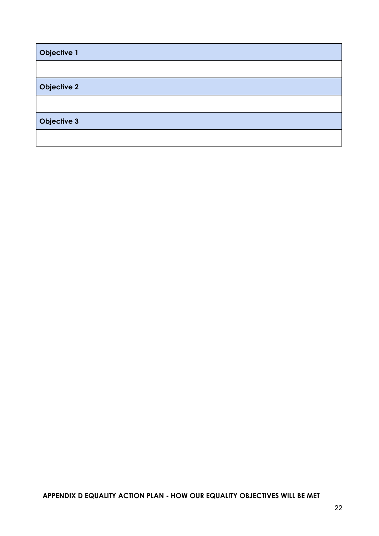| Objective 1        |  |
|--------------------|--|
|                    |  |
| <b>Objective 2</b> |  |
|                    |  |
| <b>Objective 3</b> |  |
|                    |  |